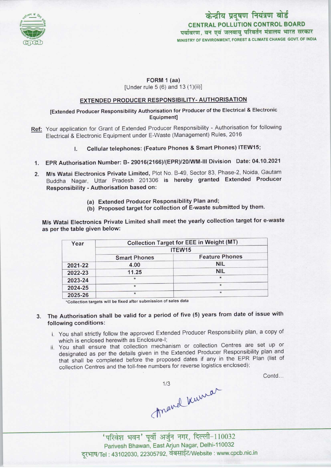

# केन्द्रीय प्रदूषण नियंत्रण बोर्ड CENTRAL POLLUTION CONTROL BOARD पर्यावरण, वन एवं जलवाय परिवर्तन मंत्रालय भारत सरकार MINISTRY OF ENVIRONMENT, FOREST & CLIMATE CHANGE GOVT. OF INDIA

### FORM 1 (aa)

[Under rule 5 (6) and 13 (1)(ii)]

## EXTENDED PRODUCER RESPONSIBILITY-AUTHORISATION

## [Extended Producer Responsibility Authorisation for Producer ofthe Electrical & Electronic Equipment]

- Ref: Your application for Grant of Extended Producer Responsibility Authorisation for following Electrical & Electronic Equipment under E-Waste (Management) Rules, 2016
	- I. Cellular telephones: (Feature Phones & Smart Phones) ITEW15;
	- 1.EPR Authorisation Number: B- 29016(2166)/(EPR)/20/WM-III Division Date: 04.10.2021
	- 2.M/s Watai Electronics Private Limited, Plot No. B-49, Sector 83, Phase-2, Noida, Gautam Buddha Nagar, Uttar Pradesh 201306 is hereby granted Extended Producer Responsibility - Authorisation based on:
		- (a)Extended Producer Responsibility Plan and;
		- (b) Proposed target for collection of E-waste submitted by them.

M/s Watai Electronics Private Limited shall meet the yearly collection target for e-waste as per the table given below:

| Year    | <b>Collection Target for EEE in Weight (MT)</b><br>ITEW15 |            |
|---------|-----------------------------------------------------------|------------|
|         |                                                           |            |
|         | 2021-22                                                   | 4.00       |
| 2022-23 | 11.25                                                     | <b>NIL</b> |
| 2023-24 | $\star$                                                   | $\star$    |
| 2024-25 | $\ast$                                                    | $\star$    |
| 2025-26 | $\star$                                                   | $\star$    |

\*Collection targets will be fixed after submission of sales data

- The Authorisation shall be valid for a period of five (5) years from date of issue with 3. following conditions:
	- i. You shall strictly follow the approved Extended Producer Responsibility plan, a copy of which is enclosed herewith as Enclosure-I;
	- ii. You shall ensure that collection mechanism or collection Centres are set up or designated as per the details given in the Extended Producer Responsibility plan and that shall be completed before the proposed dates if any in the EPR Plan (list of collection Centres and the toll-free numbers for reverse logistics enclosed);

Contd...

march kurrar

'परिवेश भवन' पूर्वी अर्जुन नगर, दिल्ली-110032 Parivesh Bhawan, EastArjun Nagar, Delhi-110032 दूरभाष/Tel: 43102030, 22305792, वेबसाईट/Website : www.cpcb.nic.in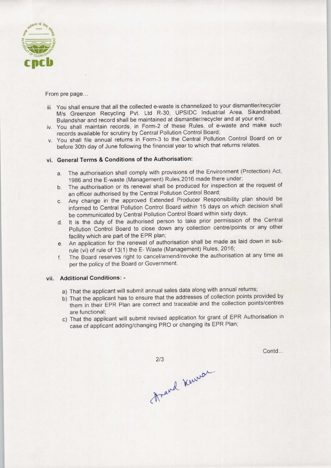

From pre page...

- iii. You shall ensure that all the collected e-waste is channelized to your dismantler/recycler M/s Greenzon Recycling Pvt. Ltd R-30, UPSIDC Industrial Area, Sikandrabad, Bulandshar and record shall be maintained at dismantler/recycler and at your end.
- iv. You shall maintain records, in Form-2 of these Rules, of e-waste and make such records available for scrutiny by Central Pollution Control Board;
- v. You shall file annual returns in Form-3 to the Central Pollution Control Board on or before 30th day of June following the financial year to which that returns relates.

### vi. General Terms & Conditions of the Authorisation:

- a. The authorisation shall comply with provisions of the Environment (Protection) Act, 1986 and the E-waste (Management) Rules,2016 made there under;
- b. The authorisation or its renewal shall be produced for inspection at the request of an officer authorised by the Central Pollution Control Board;
- c.Any change in the approved Extended Producer Responsibility plan should be informed to Central Pollution Control Board within 15 days on which decision shall be communicated by Central Pollution Control Board within sixty days;
- d. It is the duty of the authorised person to take prior permission of the Central Pollution Control Board to close down any collection centre/points or any other facility which are part of the EPR plan;
- e. An application for the renewal of authorisation shall be made as laid down in subrule (vi) of rule of 13(1) the E- Waste (Management) Rules, 2016;
- f. The Board reserves right to cancel/amend/revoke the authorisation at any time as per the policy of the Board or Government.

#### vii. Additional Conditions: -

- a) That the applicant will submit annual sales data along with annual returns;
- b) That the applicant has to ensure that the addresses of collection points provided by them in their EPR Plan are correct and traceable and the collection points/centres are functional;
- c) That the applicant will submit revised application for grant of EPR Authorisation in case of applicant adding/changing PRO or changing its EPR Plan;

Contd...

2/3<br>Arand Kurrer